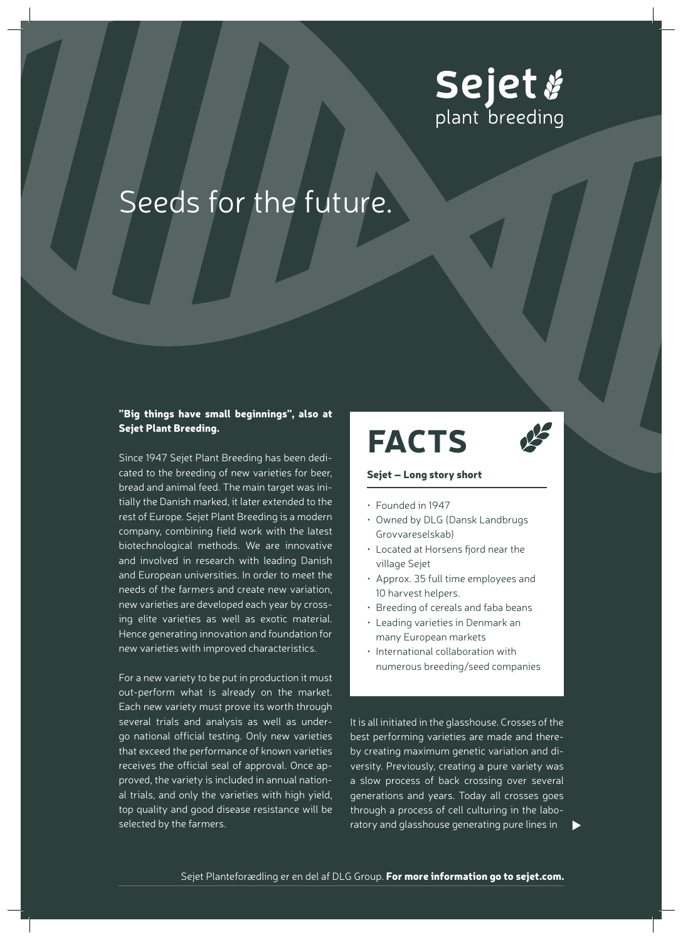

### Seeds for the future.

#### "Big things have small beginnings", also at Sejet Plant Breeding.

Since 1947 Sejet Plant Breeding has been dedicated to the breeding of new varieties for beer, bread and animal feed. The main target was initially the Danish marked, it later extended to the rest of Europe. Sejet Plant Breeding is a modern company, combining field work with the latest biotechnological methods. We are innovative and involved in research with leading Danish and European universities. In order to meet the needs of the farmers and create new variation, new varieties are developed each year by crossing elite varieties as well as exotic material. Hence generating innovation and foundation for new varieties with improved characteristics.

For a new variety to be put in production it must out-perform what is already on the market. Each new variety must prove its worth through several trials and analysis as well as undergo national official testing. Only new varieties that exceed the performance of known varieties receives the official seal of approval. Once approved, the variety is included in annual national trials, and only the varieties with high yield, top quality and good disease resistance will be selected by the farmers.

# **FACTS**



#### Sejet – Long story short

- Founded in 1947
- Owned by DLG (Dansk Landbrugs Grovvareselskab)
- Located at Horsens fjord near the village Sejet
- Approx. 35 full time employees and 10 harvest helpers.
- Breeding of cereals and faba beans
- Leading varieties in Denmark an many European markets
- International collaboration with numerous breeding/seed companies

It is all initiated in the glasshouse. Crosses of the best performing varieties are made and thereby creating maximum genetic variation and diversity. Previously, creating a pure variety was a slow process of back crossing over several generations and years. Today all crosses goes through a process of cell culturing in the laboratory and glasshouse generating pure lines in